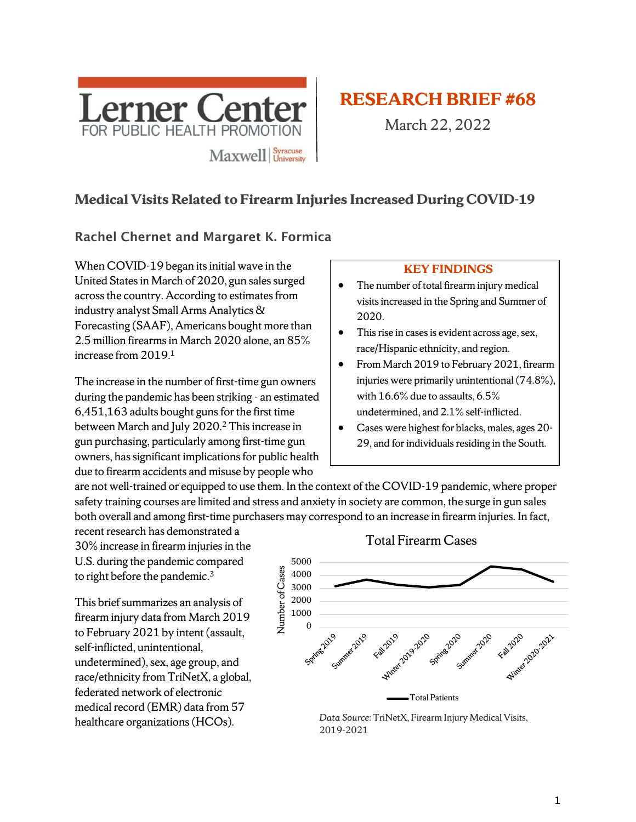

# **RESEARCH BRIEF #68**

March 22, 2022

# **Medical Visits Related to Firearm Injuries Increased During COVID-19**

#### Rachel Chernet and Margaret K. Formica

When COVID-19 began its initial wave in the United States in March of 2020, gun sales surged across the country. According to estimates from industry analyst Small Arms Analytics & Forecasting (SAAF), Americans bought more than 2.5 million firearms in March 2020 alone, an 85% increase from 2019. 1

The increase in the number of first-time gun owners during the pandemic has been striking - an estimated 6,451,163 adults bought guns for the first time between March and July 2020. <sup>2</sup> This increase in gun purchasing, particularly among first-time gun owners, has significant implications for public health due to firearm accidents and misuse by people who

#### **KEY FINDINGS**

- The number of total firearm injury medical visits increased in the Spring and Summer of 2020.
- This rise in cases is evident across age, sex, race/Hispanic ethnicity, and region.
- From March 2019 to February 2021, firearm injuries were primarily unintentional (74.8%), with 16.6% due to assaults, 6.5% undetermined, and 2.1% self-inflicted.
- Cases were highest for blacks, males, ages 20- 29, and for individuals residing in the South.

are not well-trained or equipped to use them. In the context of the COVID-19 pandemic, where proper safety training courses are limited and stress and anxiety in society are common, the surge in gun sales both overall and among first-time purchasers may correspond to an increase in firearm injuries. In fact,

recent research has demonstrated a 30% increase in firearm injuries in the U.S. during the pandemic compared to right before the pandemic.<sup>3</sup>

This brief summarizes an analysis of firearm injury data from March 2019 to February 2021 by intent (assault, self-inflicted, unintentional, undetermined), sex, age group, and race/ethnicity from TriNetX, a global, federated network of electronic medical record (EMR) data from 57 healthcare organizations(HCOs).



*Data Source*: TriNetX, Firearm Injury Medical Visits, 2019-2021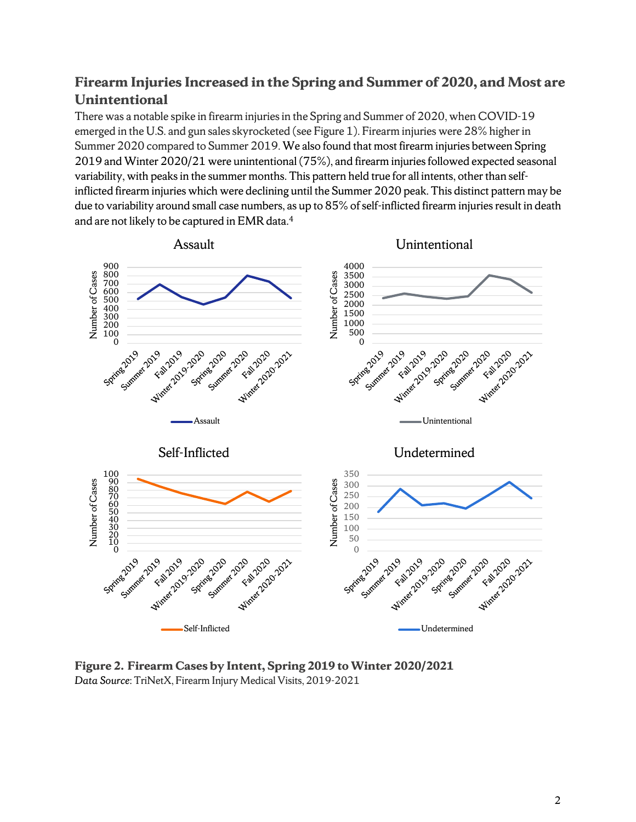# **Firearm Injuries Increased in the Spring and Summer of 2020, and Most are Unintentional**

There was a notable spike in firearm injuries in the Spring and Summer of 2020, when COVID-19 emerged in the U.S. and gun sales skyrocketed (see Figure 1). Firearm injuries were 28% higher in Summer 2020 compared to Summer 2019. We also found that most firearm injuries between Spring 2019 and Winter 2020/21 were unintentional (75%), and firearm injuries followed expected seasonal variability, with peaks in the summer months. This pattern held true for all intents, other than selfinflicted firearm injuries which were declining until the Summer 2020 peak. This distinct pattern may be due to variability around small case numbers, as up to 85% of self-inflicted firearm injuries result in death and are not likely to be captured in  $\rm{EMR}$  data. $^4$ 



**Figure 2. Firearm Cases by Intent, Spring 2019 to Winter 2020/2021** *Data Source*: TriNetX, Firearm Injury Medical Visits, 2019-2021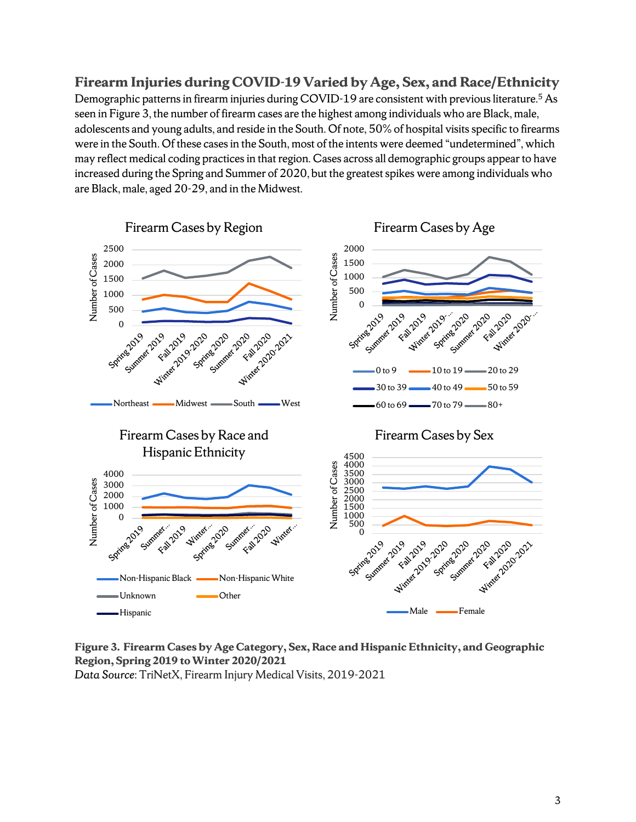**Firearm Injuries during COVID-19 Varied by Age, Sex, and Race/Ethnicity** Demographic patterns in firearm injuries during COVID-19 are consistent with previous literature.<sup>5</sup> As seen in Figure 3, the number of firearm cases are the highest among individuals who are Black, male, adolescents and young adults, and reside in the South. Of note, 50% of hospital visits specific to firearms were in the South. Of these cases in the South, most of the intents were deemed "undetermined", which may reflect medical coding practices in that region. Cases across all demographic groups appear to have increased during the Spring and Summer of 2020, but the greatest spikes were among individuals who are Black, male, aged 20-29, and in the Midwest.



**Figure 3. Firearm Cases by Age Category, Sex, Race and Hispanic Ethnicity, and Geographic Region, Spring 2019 to Winter 2020/2021** *Data Source*: TriNetX, Firearm Injury Medical Visits, 2019-2021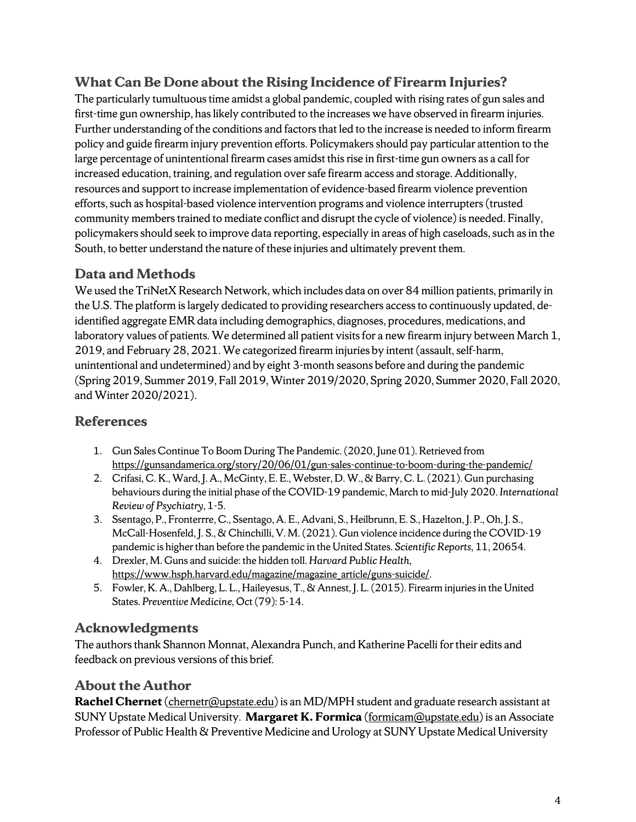# **What Can Be Done about the Rising Incidence of Firearm Injuries?**

The particularly tumultuous time amidst a global pandemic, coupled with rising rates of gun sales and first-time gun ownership, has likely contributed to the increases we have observed in firearm injuries. Further understanding of the conditions and factors that led to the increase is needed to inform firearm policy and guide firearm injury prevention efforts. Policymakers should pay particular attention to the large percentage of unintentional firearm cases amidst this rise in first-time gun owners as a call for increased education, training, and regulation over safe firearm access and storage. Additionally, resources and support to increase implementation of evidence-based firearm violence prevention efforts, such as hospital-based violence intervention programs and violence interrupters(trusted community members trained to mediate conflict and disrupt the cycle of violence) is needed. Finally, policymakers should seek to improve data reporting, especially in areas of high caseloads, such as in the South, to better understand the nature of these injuries and ultimately prevent them.

#### **Data and Methods**

We used the TriNetX Research Network, which includes data on over 84 million patients, primarily in the U.S. The platform is largely dedicated to providing researchers access to continuously updated, deidentified aggregate EMR data including demographics, diagnoses, procedures, medications, and laboratory values of patients. We determined all patient visits for a new firearm injury between March 1, 2019, and February 28, 2021. We categorized firearm injuries by intent (assault, self-harm, unintentional and undetermined) and by eight 3-month seasons before and during the pandemic (Spring 2019, Summer 2019, Fall 2019, Winter 2019/2020, Spring 2020, Summer 2020, Fall 2020, and Winter 2020/2021).

# **References**

- 1. Gun Sales Continue To Boom During The Pandemic. (2020, June 01). Retrieved from <https://gunsandamerica.org/story/20/06/01/gun-sales-continue-to-boom-during-the-pandemic/>
- 2. Crifasi, C. K., Ward, J. A., McGinty, E. E., Webster, D. W., & Barry, C. L. (2021). Gun purchasing behaviours during the initial phase of the COVID-19 pandemic, March to mid-July 2020. *International Review of Psychiatry*, 1-5.
- 3. Ssentago, P., Fronterrre, C., Ssentago, A. E., Advani, S., Heilbrunn, E. S., Hazelton, J. P., Oh, J. S., McCall-Hosenfeld, J. S., & Chinchilli, V. M. (2021). Gun violence incidence during the COVID-19 pandemic is higher than before the pandemic in the United States. *Scientific Reports,* 11, 20654.
- 4. Drexler, M. Guns and suicide: the hidden toll. *Harvard Public Health,*  [https://www.hsph.harvard.edu/magazine/magazine\\_article/guns-suicide/.](https://www.hsph.harvard.edu/magazine/magazine_article/guns-suicide/)
- 5. Fowler, K. A., Dahlberg, L. L., Haileyesus, T., & Annest, J. L. (2015). Firearm injuries in the United States. *Preventive Medicine,* Oct (79): 5-14.

# **Acknowledgments**

The authors thank Shannon Monnat, Alexandra Punch, and Katherine Pacelli for their edits and feedback on previous versions of this brief.

# **About the Author**

**Rachel Chernet** (*chernetr@upstate.edu*) is an MD/MPH student and graduate research assistant at SUNY Upstate Medical University. **Margaret K. Formica** [\(formicam@upstate.edu\)](mailto:formicam@upstate.edu) is an Associate Professor of Public Health & Preventive Medicine and Urology at SUNY Upstate Medical University